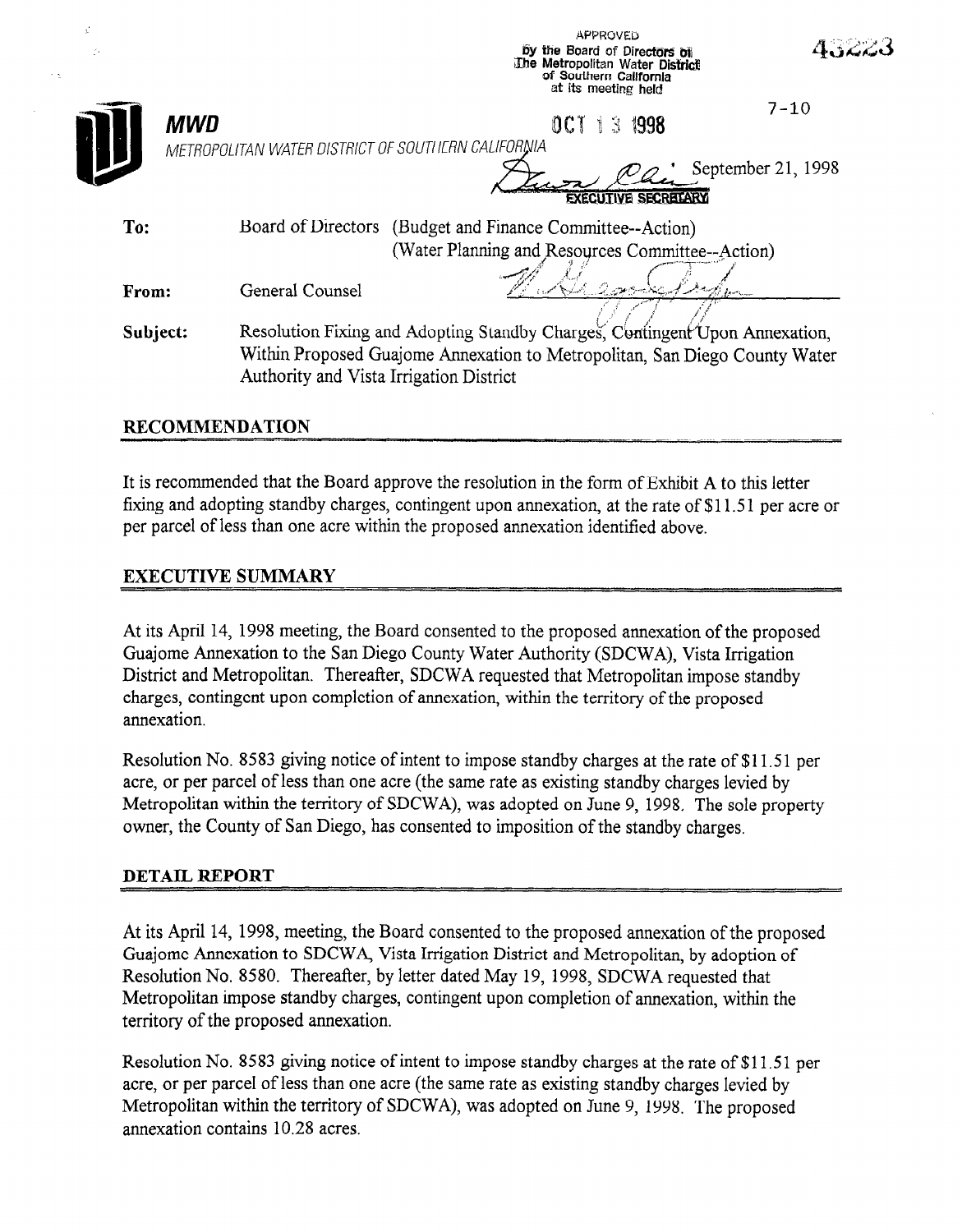|          |                                                           | <b>APPROVED</b><br>by the Board of Directors of<br>The Metropolitan Water District<br>of Southern California<br>at its meeting held                       | 4.322.3            |
|----------|-----------------------------------------------------------|-----------------------------------------------------------------------------------------------------------------------------------------------------------|--------------------|
|          | MWD<br>METROPOLITAN WATER DISTRICT OF SOUTHERN CALIFORNIA | 0C1<br>8 1998                                                                                                                                             | $7 - 10$           |
|          |                                                           | EXECUTIVE SECRETARY                                                                                                                                       | September 21, 1998 |
| To:      | Board of Directors                                        | (Budget and Finance Committee--Action)                                                                                                                    |                    |
| From:    | General Counsel                                           | (Water Planning and Resources Committee--Action)                                                                                                          |                    |
| Subject: | Authority and Vista Irrigation District                   | Resolution Fixing and Adopting Standby Charges, Contingent Upon Annexation,<br>Within Proposed Guajome Annexation to Metropolitan, San Diego County Water |                    |

## **RECOMMENDATION**

It is recommended that the Board approve the resolution in the form of Exhibit A to this letter fixing and adopting standby charges, contingent upon annexation, at the rate of \$11.51 per acre or per parcel of less than one acre within the proposed annexation identified above.

## **EXECUTIVE SUMMARY**

At its April 14, 1998 meeting, the Board consented to the proposed annexation of the proposed Guajome Annexation to the San Diego County Water Authority (SDCWA), Vista Irrigation District and Metropolitan. Thereafter, SDCWA requested that Metropolitan impose standby charges, contingent upon completion of annexation, within the territory of the proposed annexation.

Resolution No. 8583 giving notice of intent to impose standby charges at the rate of \$11.51 per acre, or per parcel of less than one acre (the same rate as existing standby charges levied by Metropolitan within the territory of SDCWA), was adopted on June 9, 1998. The sole property owner, the County of San Diego, has consented to imposition of the standby charges.

## **DETAIL REPORT**

At its April 14, 1998, meeting, the Board consented to the proposed annexation of the proposed Guajome Annexation to SDCWA, Vista Irrigation District and Metropolitan, by adoption of Resolution No. 8580. Thereafter, by letter dated May 19, 1998, SDCWA requested that Metropolitan impose standby charges, contingent upon completion of annexation, within the territory of the proposed annexation.

Resolution No. 8583 giving notice of intent to impose standby charges at the rate of \$11.51 per acre, or per parcel of less than one acre (the same rate as existing standby charges levied by Metropolitan within the territory of SDCWA), was adopted on June 9, 1998. The proposed annexation contains 10.28 acres.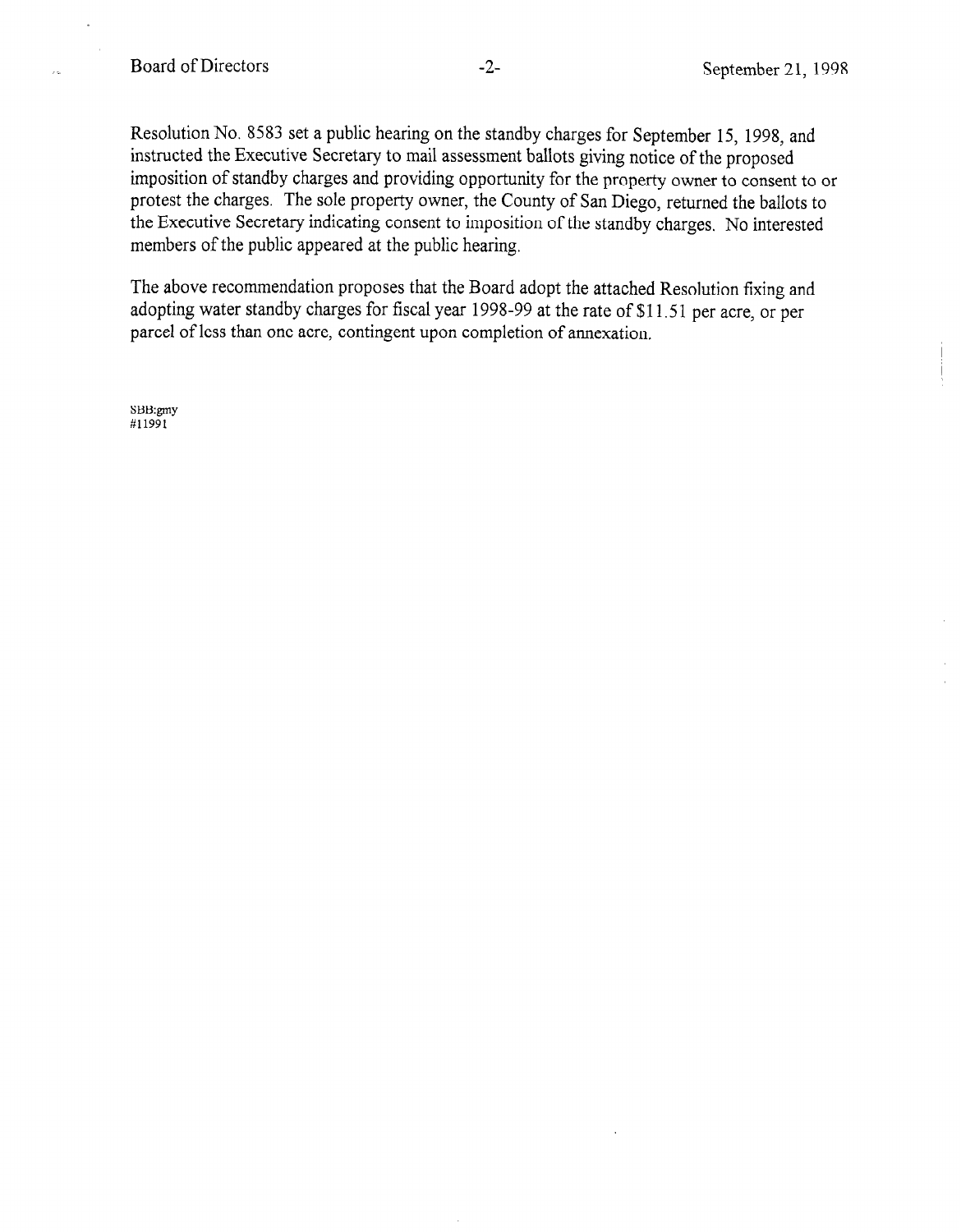$\frac{1}{2}$ 

Resolution No. 8583 set a public hearing on the standby charges for September 15, 1998, and instructed the Executive Secretary to mail assessment ballots giving notice of the proposed imposition of standby charges and providing opportunity for the property owner to consent to or protest the charges. The sole property owner, the County of San Diego, returned the ballots to the Executive Secretary indicating consent to imposition of the standby charges, No interested members of the public appeared at the public hearing.

The above recommendation proposes that the Board adopt the attached Resolution fixing and adopting water standby charges for fiscal year 1998-99 at the rate of \$11.5 1 per acre, or per parcel of less than one acre, contingent upon completion of annexation.

SBB:gmy #11991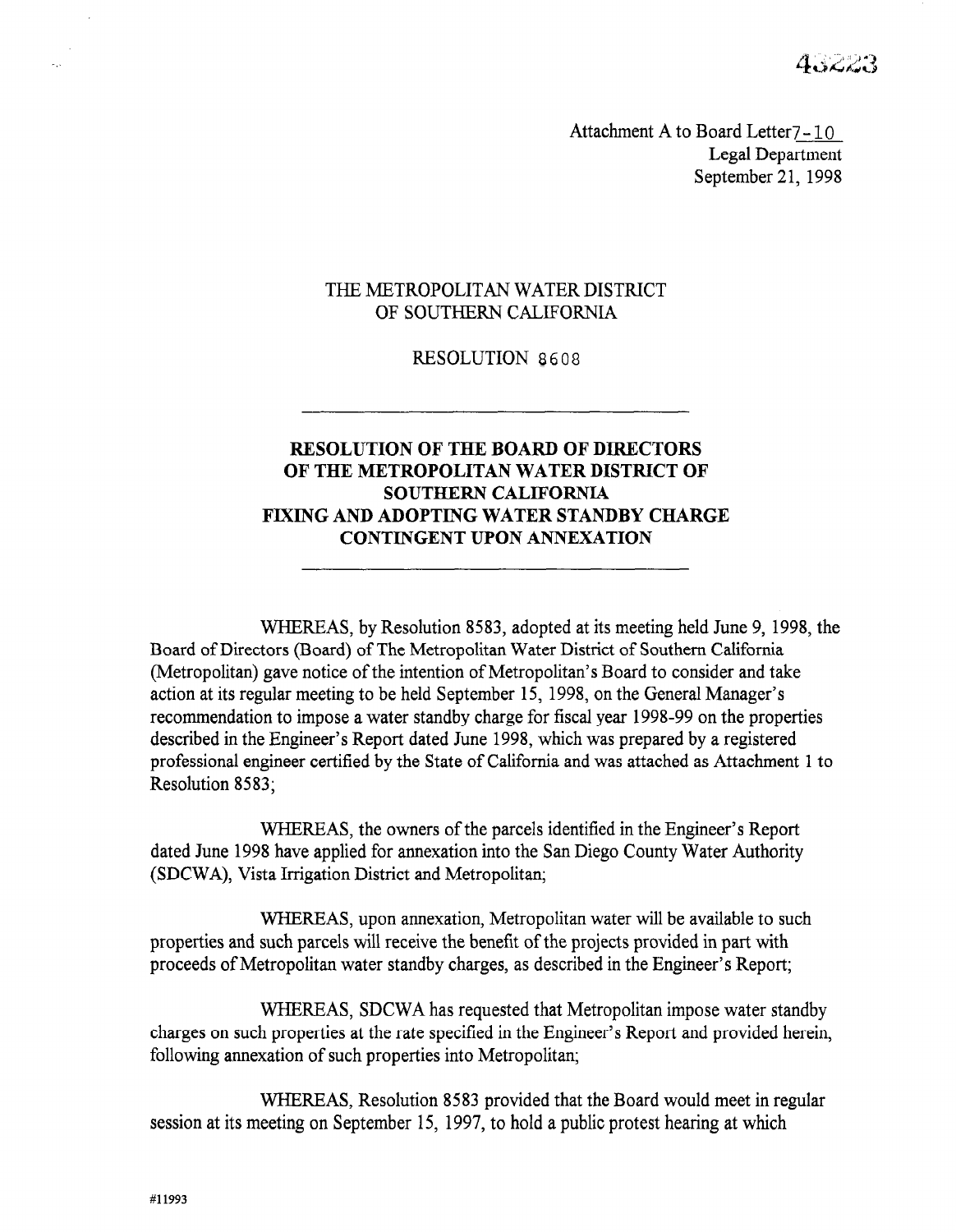4. . 22. . .

Attachment A to Board Letter7 - 10 Legal Department September 21, 1998

#### THE METROPOLITAN WATER DISTRICT OF SOUTHERN CALIFORNIA

#### RESOLUTION 8608

# RESOLUTION OF THE BOARD OF DIRECTORS OF THE METROPOLITAN WATER DISTRICT OF SOUTHERN CALIFORNIA FIXING AND ADOPTING WATER STANDBY CHARGE CONTINGENT UPON ANNEXATION

WHEREAS, by Resolution 8583, adopted at its meeting held June 9, 1998, the  $B = \frac{1}{2}$  METRICAS, by The Metropolitan Society at as include the  $\frac{1}{2}$ . board of Directors (Board) of the intentiopolitan's water District of Southern Cambridge (Metropolitan) gave notice of the intention of Metropolitan's Board to consider and take action at its regular meeting to be held September 15, 1998, on the General Manager's recommendation to impose a water standby charge for fiscal year 1998-99 on the properties described in the Engineer's Report dated June 1998, which was prepared by a registered professional engineer certified by the State of California and was attached as Attachment 1 to Resolution 8583;

WHEREAS, the owners of the parcels identified in the Engineer's Report dated June 1998 have applied for annexation into the San Diego County Water Authority (SDCWA), Vista Irrigation District and Metropolitan;

WHEREAS, upon annexation, Metropolitan water will be available to such properties and such parcels will receive the benefit of the projects provided in part with proceeds of Metropolitan water standby charges, as described in the Engineer's Report;

WHEREAS, SDCWA has requested that Metropolitan impose water standby charges on such properties at the rate specified in the Engineer's Report and provided herein, following annexation of such properties into Metropolitan;

WHEREAS, Resolution 8583 provided that the Board would meet in regular session at its meeting on September 15, 1997, to hold a public protest hearing at which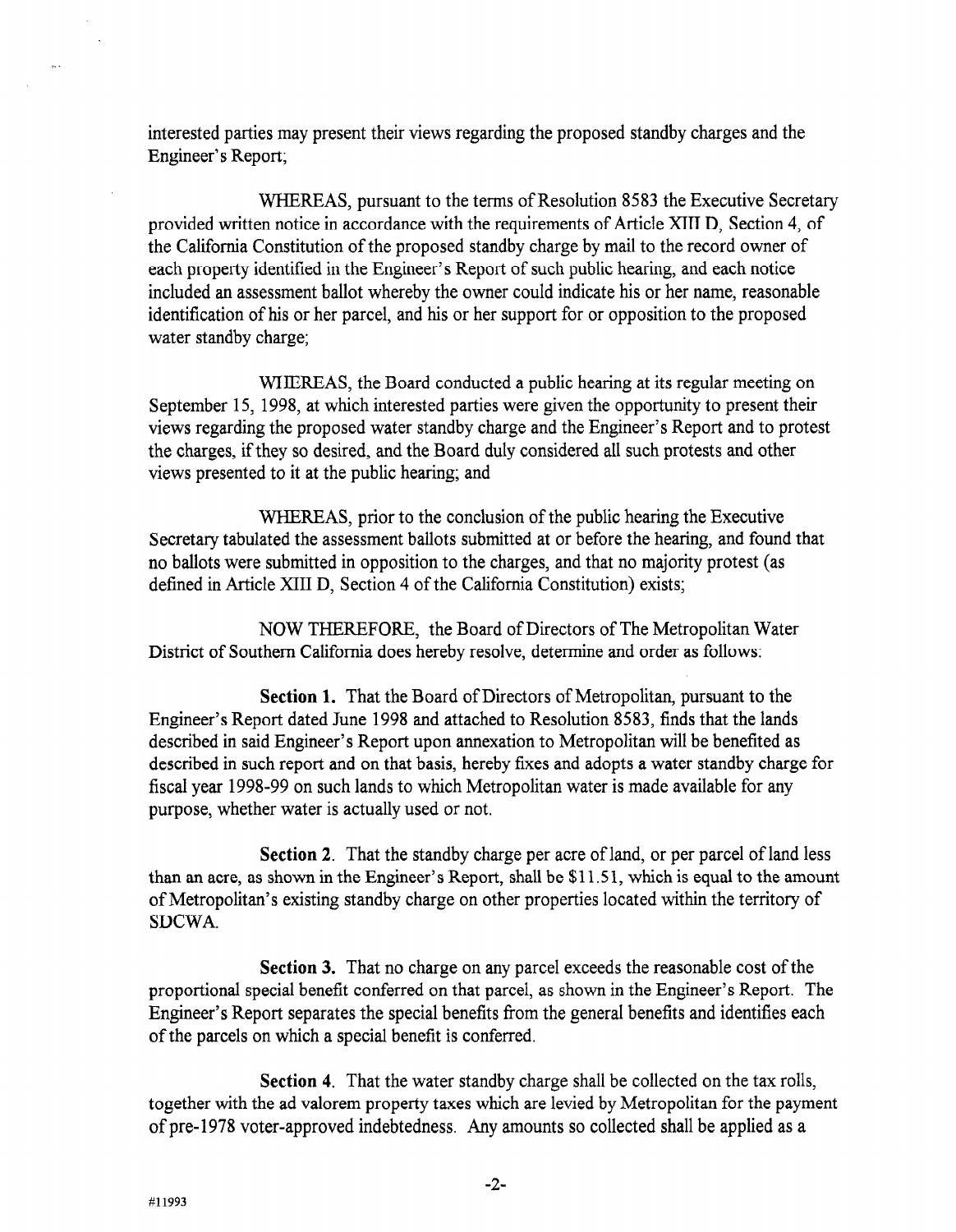interested parties may present their views regarding the proposed standby charges and the Engineer's Report;

WHEREAS, pursuant to the terms of Resolution 8583 the Executive Secretary provided written notice in accordance with the requirements of Article XIII D, Section 4, of the California Constitution of the proposed standby charge by mail to the record owner of each property identified in the Engineer's Report of such public hearing, and each notice included an assessment ballot whereby the owner could indicate his or her name, reasonable identification of his or her parcel, and his or her support for or opposition to the proposed water standby charge;

WHEREAS, the Board conducted a public hearing at its regular meeting on September 15, 1998, at which interested parties were given the opportunity to present their views regarding the proposed water standby charge and the Engineer's Report and to protest the charges, if they so desired, and the Board duly considered all such protests and other views presented to it at the public hearing; and

WHEREAS, prior to the conclusion of the public hearing the Executive Secretary tabulated the assessment ballots submitted at or before the hearing, and found that no ballots were submitted in opposition to the charges, and that no majority protest (as defined in Article XIII D, Section 4 of the California Constitution) exists;

NOW THEREFORE, the Board of Directors of The Metropolitan Water  $D_{\text{tot}}$  of  $\mathcal{L}$   $\mathcal{L}$  of  $\mathcal{L}$  and  $\mathcal{L}$  are board or Directors or The Metropolitan  $\mathbf{v}$ 

Section 1. That the Board of Directors of Metropolitan pursuant to the Section 1. That the Board of Directors of Metropolitan, pursuant to the Engineer's Report dated June 1998 and attached to Resolution 8583, finds that the lands described in said Engineer's Report upon annexation to Metropolitan will be benefited as described in such report and on that basis, hereby fixes and adopts a water standby charge for fiscal year 1998-99 on such lands to which Metropolitan water is made available for any purpose, whether water is actually used or not.

Section 2. That the standby charge per acre of land, or per parcel of land less Section 2. That the standby charge per acre of land, or per parcel of land less than an acre, as shown in the Engineer's Report, shall be  $$11.51$ , which is equal to the amount of Metropolitan's existing standby charge on other properties located within the territory of SDCWA.

**Section 3.** That no charge on any parcel exceeds the reasonable cost of the proportional special benefit conferred on that parcel, as shown in the Engineer's Report. The Engineer's Report separates the special benefits from the general benefits and identifies each of the parcels on which a special benefit is conferred.

Section 4. That the water standby charge shall be collected on the tax rolls, together with the ad valorem property taxes which are levied by Metropolitan for the payment of pre-1978 voter-approved indebtedness. Any amounts so collected shall be applied as a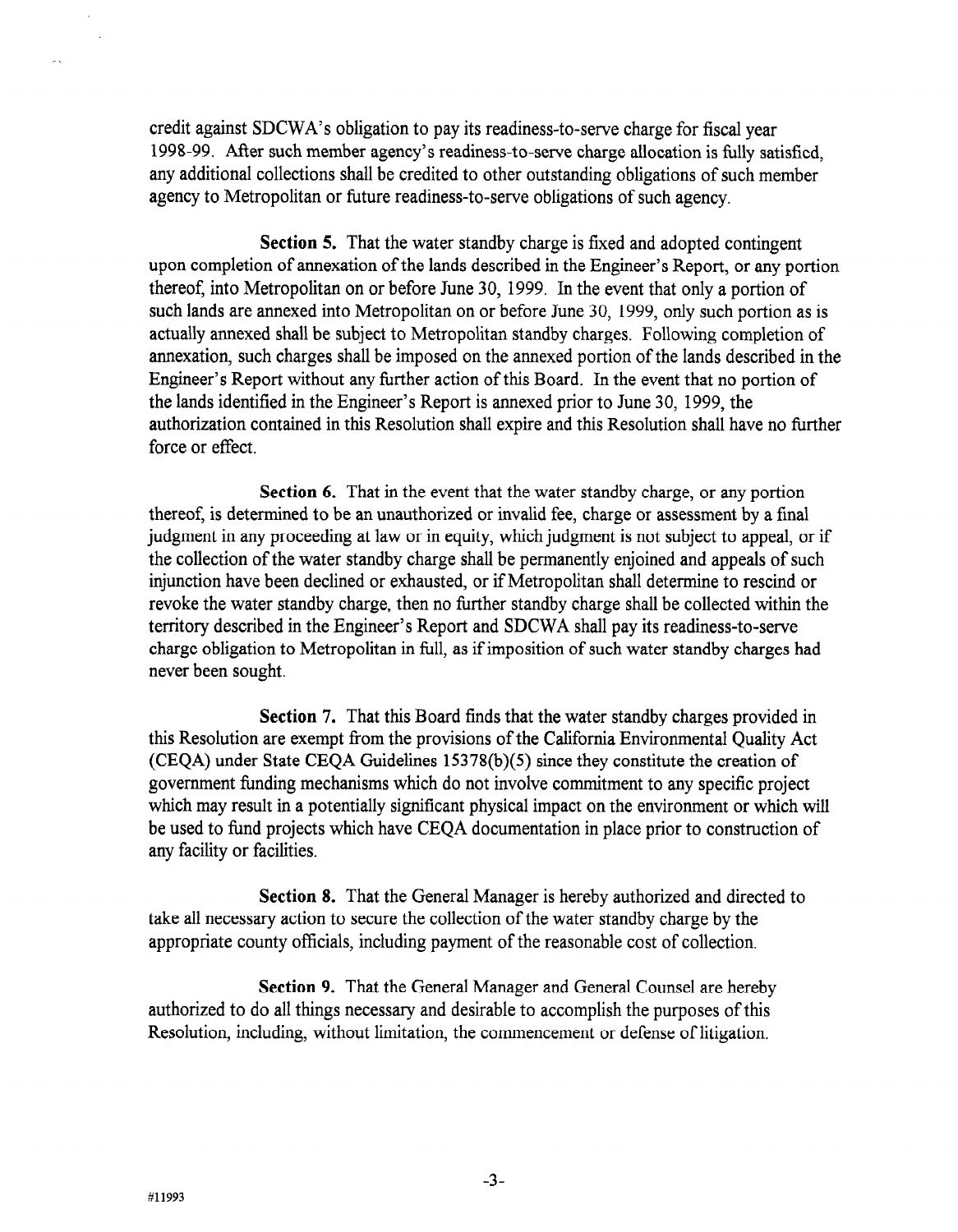credit against SDCWA's obligation to pay its readiness-to-serve charge for fiscal year 1998-99. After such member agency's readiness-to-serve charge allocation is fully satisfied, any additional collections shall be credited to other outstanding obligations of such member agency to Metropolitan or future readiness-to-serve obligations of such agency.

Section 5. That the water standby charge is fixed and adopted contingent upon completion of annexation of the lands described in the Engineer's Report, or any portion thereof, into Metropolitan on or before June 30, 1999. In the event that only a portion of such lands are annexed into Metropolitan on or before June 30, 1999, only such portion as is actually annexed shall be subject to Metropolitan standby charges. Following completion of annexation, such charges shall be imposed on the annexed portion of the lands described in the Engineer's Report without any further action of this Board. In the event that no portion of the lands identified in the Engineer's Report is annexed prior to June 30, 1999, the authorization contained in this Resolution shall expire and this Resolution shall have no further force or effect.

Section 6. That in the event that the water standby charge, or any portion thereof, is determined to be an unauthorized or invalid fee, charge or assessment by a final judgment in any proceeding at law or in equity, which judgment is not subject to appeal, or if the collection of the water standby charge shall be permanently enjoined and appeals of such injunction have been declined or exhausted, or if Metropolitan shall determine to rescind or revoke the water standby charge, then no further standby charge shall be collected within the territory described in the Engineer's Report and SDCWA shall pay its readiness-to-serve charge obligation to Metropolitan in full, as ifimposition of such water standby charges had never been sought.

Section 7. That this Board finds that the water standby charges provided in  $\frac{1}{2}$  section 7. That this board thius that the water standby charges provided in this Resolution are exempt from the provisions of the California Environmental Quality Act (CEQA) under State CEQA Guidelines  $15378(b)(5)$  since they constitute the creation of government funding mechanisms which do not involve commitment to any specific project which may result in a potentially significant physical impact on the environment or which will be used to fund projects which have CEQA documentation in place prior to construction of any facility or facilities.

Section 8. That the General Manager is hereby authorized and directed to take all necessary action to secure the collection of the water standby charge by the appropriate county officials, including payment of the reasonable cost of collection.

**Section 9.** That the General Manager and General Counsel are hereby authorized to do all things necessary and desirable to accomplish the purposes of this Resolution, including, without limitation, the commencement or defense of litigation.

 $\mathbf{A}$